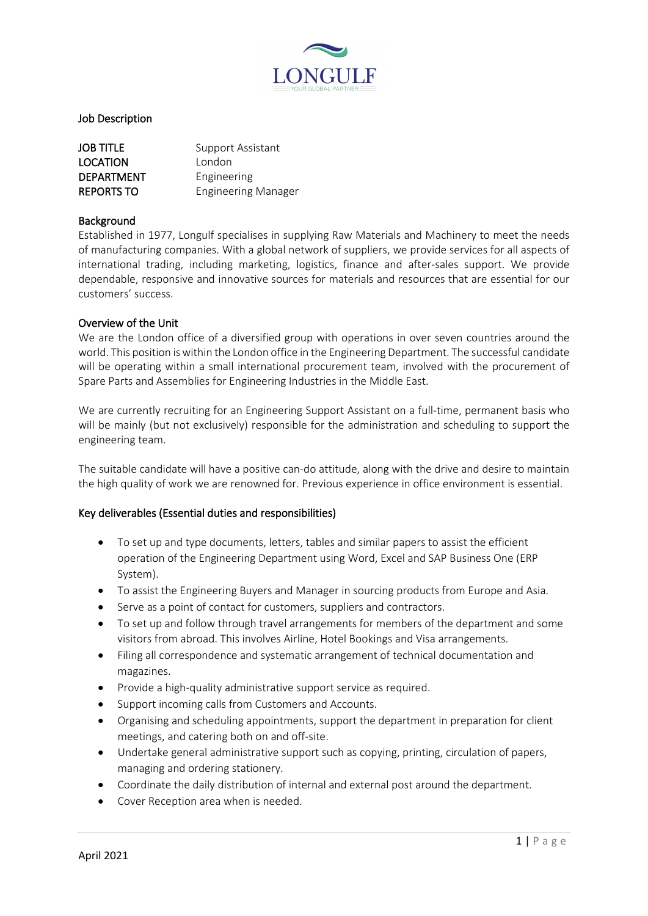

# Job Description

| <b>JOB TITLE</b>  | Support Assistant          |
|-------------------|----------------------------|
| <b>LOCATION</b>   | London                     |
| <b>DEPARTMENT</b> | Engineering                |
| <b>REPORTS TO</b> | <b>Engineering Manager</b> |

### Background

Established in 1977, Longulf specialises in supplying Raw Materials and Machinery to meet the needs of manufacturing companies. With a global network of suppliers, we provide services for all aspects of international trading, including marketing, logistics, finance and after-sales support. We provide dependable, responsive and innovative sources for materials and resources that are essential for our customers' success.

### Overview of the Unit

We are the London office of a diversified group with operations in over seven countries around the world. This position is within the London office in the Engineering Department. The successful candidate will be operating within a small international procurement team, involved with the procurement of Spare Parts and Assemblies for Engineering Industries in the Middle East.

We are currently recruiting for an Engineering Support Assistant on a full-time, permanent basis who will be mainly (but not exclusively) responsible for the administration and scheduling to support the engineering team.

The suitable candidate will have a positive can-do attitude, along with the drive and desire to maintain the high quality of work we are renowned for. Previous experience in office environment is essential.

### Key deliverables (Essential duties and responsibilities)

- To set up and type documents, letters, tables and similar papers to assist the efficient operation of the Engineering Department using Word, Excel and SAP Business One (ERP System).
- To assist the Engineering Buyers and Manager in sourcing products from Europe and Asia.
- Serve as a point of contact for customers, suppliers and contractors.
- To set up and follow through travel arrangements for members of the department and some visitors from abroad. This involves Airline, Hotel Bookings and Visa arrangements.
- Filing all correspondence and systematic arrangement of technical documentation and magazines.
- Provide a high-quality administrative support service as required.
- Support incoming calls from Customers and Accounts.
- Organising and scheduling appointments, support the department in preparation for client meetings, and catering both on and off-site.
- Undertake general administrative support such as copying, printing, circulation of papers, managing and ordering stationery.
- Coordinate the daily distribution of internal and external post around the department.
- Cover Reception area when is needed.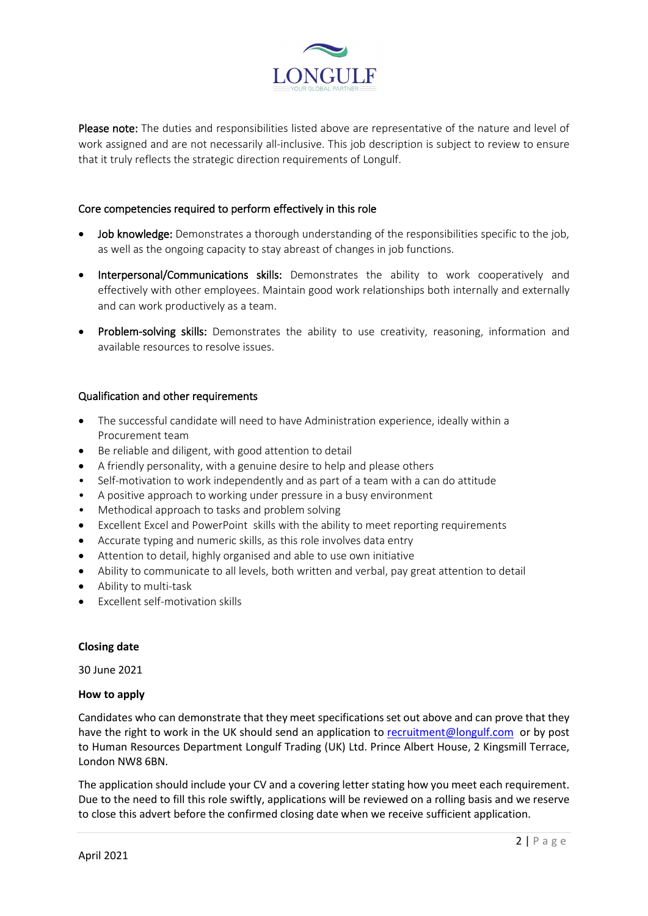

Please note: The duties and responsibilities listed above are representative of the nature and level of work assigned and are not necessarily all-inclusive. This job description is subject to review to ensure that it truly reflects the strategic direction requirements of Longulf.

# Core competencies required to perform effectively in this role

- Job knowledge: Demonstrates a thorough understanding of the responsibilities specific to the job. as well as the ongoing capacity to stay abreast of changes in job functions.
- Interpersonal/Communications skills: Demonstrates the ability to work cooperatively and effectively with other employees. Maintain good work relationships both internally and externally and can work productively as a team.
- Problem-solving skills: Demonstrates the ability to use creativity, reasoning, information and available resources to resolve issues.

# Qualification and other requirements

- The successful candidate will need to have Administration experience, ideally within a Procurement team
- Be reliable and diligent, with good attention to detail
- A friendly personality, with a genuine desire to help and please others
- Self-motivation to work independently and as part of a team with a can do attitude
- A positive approach to working under pressure in a busy environment
- Methodical approach to tasks and problem solving
- Excellent Excel and PowerPoint skills with the ability to meet reporting requirements
- Accurate typing and numeric skills, as this role involves data entry
- Attention to detail, highly organised and able to use own initiative
- Ability to communicate to all levels, both written and verbal, pay great attention to detail
- Ability to multi-task
- Excellent self-motivation skills

### **Closing date**

30 June 2021

### **How to apply**

Candidates who can demonstrate that they meet specifications set out above and can prove that they have the right to work in the UK should send an application to [recruitment@longulf.com](mailto:recruitment@longulf.com) or by post to Human Resources Department Longulf Trading (UK) Ltd. Prince Albert House, 2 Kingsmill Terrace, London NW8 6BN.

The application should include your CV and a covering letter stating how you meet each requirement. Due to the need to fill this role swiftly, applications will be reviewed on a rolling basis and we reserve to close this advert before the confirmed closing date when we receive sufficient application.